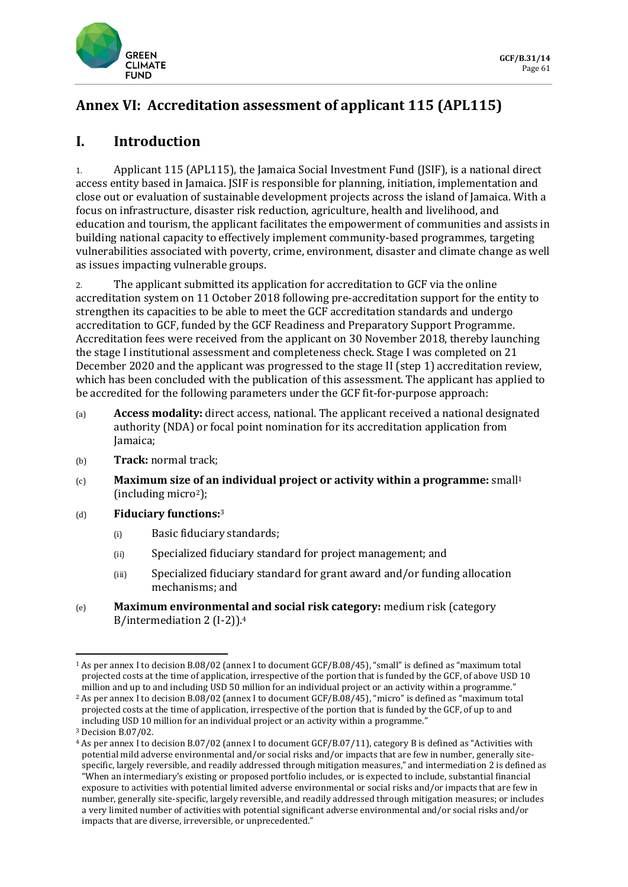

# **Annex VI: Accreditation assessment of applicant 115 (APL115)**

### **I. Introduction**

1. Applicant 115 (APL115), the Jamaica Social Investment Fund (JSIF), is a national direct access entity based in Jamaica. JSIF is responsible for planning, initiation, implementation and close out or evaluation of sustainable development projects across the island of Jamaica. With a focus on infrastructure, disaster risk reduction, agriculture, health and livelihood, and education and tourism, the applicant facilitates the empowerment of communities and assists in building national capacity to effectively implement community-based programmes, targeting vulnerabilities associated with poverty, crime, environment, disaster and climate change as well as issues impacting vulnerable groups.

2. The applicant submitted its application for accreditation to GCF via the online accreditation system on 11 October 2018 following pre-accreditation support for the entity to strengthen its capacities to be able to meet the GCF accreditation standards and undergo accreditation to GCF, funded by the GCF Readiness and Preparatory Support Programme. Accreditation fees were received from the applicant on 30 November 2018, thereby launching the stage I institutional assessment and completeness check. Stage I was completed on 21 December 2020 and the applicant was progressed to the stage II (step 1) accreditation review, which has been concluded with the publication of this assessment. The applicant has applied to be accredited for the following parameters under the GCF fit-for-purpose approach:

- (a) **Access modality:** direct access, national. The applicant received a national designated authority (NDA) or focal point nomination for its accreditation application from Jamaica;
- (b) **Track:** normal track;
- (c) **Maximum size of an individual project or activity within a programme:** small<sup>1</sup>  $(including micro<sup>2</sup>):$
- (d) **Fiduciary functions:**<sup>3</sup>
	- (i) Basic fiduciary standards;
	- (ii) Specialized fiduciary standard for project management; and
	- (iii) Specialized fiduciary standard for grant award and/or funding allocation mechanisms; and
- (e) **Maximum environmental and social risk category:** medium risk (category B/intermediation 2 (I-2)).<sup>4</sup>

<sup>1</sup> As per annex I to decision B.08/02 (annex I to document GCF/B.08/45), "small" is defined as "maximum total projected costs at the time of application, irrespective of the portion that is funded by the GCF, of above USD 10 million and up to and including USD 50 million for an individual project or an activity within a programme."

<sup>2</sup> As per annex I to decision B.08/02 (annex I to document GCF/B.08/45), "micro" is defined as "maximum total projected costs at the time of application, irrespective of the portion that is funded by the GCF, of up to and including USD 10 million for an individual project or an activity within a programme."

<sup>3</sup> Decision B.07/02.

<sup>4</sup> As per annex I to decision B.07/02 (annex I to document GCF/B.07/11), category B is defined as "Activities with potential mild adverse environmental and/or social risks and/or impacts that are few in number, generally sitespecific, largely reversible, and readily addressed through mitigation measures," and intermediation 2 is defined as "When an intermediary's existing or proposed portfolio includes, or is expected to include, substantial financial exposure to activities with potential limited adverse environmental or social risks and/or impacts that are few in number, generally site-specific, largely reversible, and readily addressed through mitigation measures; or includes a very limited number of activities with potential significant adverse environmental and/or social risks and/or impacts that are diverse, irreversible, or unprecedented."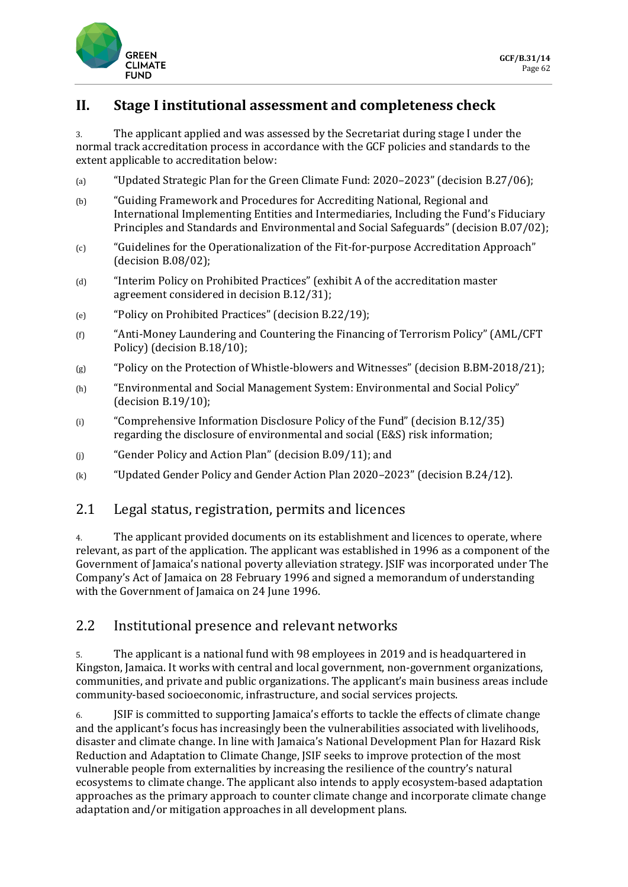

### **II. Stage I institutional assessment and completeness check**

3. The applicant applied and was assessed by the Secretariat during stage I under the normal track accreditation process in accordance with the GCF policies and standards to the extent applicable to accreditation below:

- (a) "Updated Strategic Plan for the Green Climate Fund: 2020–2023" (decision B.27/06);
- (b) "Guiding Framework and Procedures for Accrediting National, Regional and International Implementing Entities and Intermediaries, Including the Fund's Fiduciary Principles and Standards and Environmental and Social Safeguards" (decision B.07/02);
- (c) "Guidelines for the Operationalization of the Fit-for-purpose Accreditation Approach" (decision B.08/02);
- (d) "Interim Policy on Prohibited Practices" (exhibit A of the accreditation master agreement considered in decision B.12/31);
- (e) "Policy on Prohibited Practices" (decision B.22/19);
- (f) "Anti-Money Laundering and Countering the Financing of Terrorism Policy" (AML/CFT Policy) (decision B.18/10);
- (g) "Policy on the Protection of Whistle-blowers and Witnesses" (decision B.BM-2018/21);
- (h) "Environmental and Social Management System: Environmental and Social Policy" (decision B.19/10);
- (i) "Comprehensive Information Disclosure Policy of the Fund" (decision B.12/35) regarding the disclosure of environmental and social (E&S) risk information;
- (j) "Gender Policy and Action Plan" (decision B.09/11); and
- (k) "Updated Gender Policy and Gender Action Plan 2020–2023" (decision B.24/12).

### 2.1 Legal status, registration, permits and licences

4. The applicant provided documents on its establishment and licences to operate, where relevant, as part of the application. The applicant was established in 1996 as a component of the Government of Jamaica's national poverty alleviation strategy. JSIF was incorporated under The Company's Act of Jamaica on 28 February 1996 and signed a memorandum of understanding with the Government of Jamaica on 24 June 1996.

### 2.2 Institutional presence and relevant networks

5. The applicant is a national fund with 98 employees in 2019 and is headquartered in Kingston, Jamaica. It works with central and local government, non-government organizations, communities, and private and public organizations. The applicant's main business areas include community-based socioeconomic, infrastructure, and social services projects.

6. JSIF is committed to supporting Jamaica's efforts to tackle the effects of climate change and the applicant's focus has increasingly been the vulnerabilities associated with livelihoods, disaster and climate change. In line with Jamaica's National Development Plan for Hazard Risk Reduction and Adaptation to Climate Change, JSIF seeks to improve protection of the most vulnerable people from externalities by increasing the resilience of the country's natural ecosystems to climate change. The applicant also intends to apply ecosystem-based adaptation approaches as the primary approach to counter climate change and incorporate climate change adaptation and/or mitigation approaches in all development plans.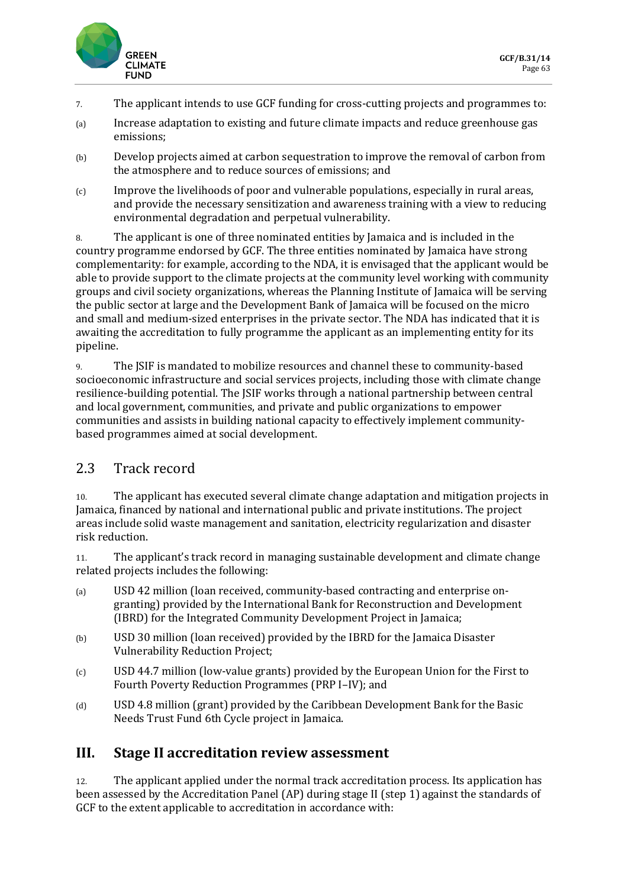

- 7. The applicant intends to use GCF funding for cross-cutting projects and programmes to:
- (a) Increase adaptation to existing and future climate impacts and reduce greenhouse gas emissions;
- (b) Develop projects aimed at carbon sequestration to improve the removal of carbon from the atmosphere and to reduce sources of emissions; and
- (c) Improve the livelihoods of poor and vulnerable populations, especially in rural areas, and provide the necessary sensitization and awareness training with a view to reducing environmental degradation and perpetual vulnerability.

8. The applicant is one of three nominated entities by Jamaica and is included in the country programme endorsed by GCF. The three entities nominated by Jamaica have strong complementarity: for example, according to the NDA, it is envisaged that the applicant would be able to provide support to the climate projects at the community level working with community groups and civil society organizations, whereas the Planning Institute of Jamaica will be serving the public sector at large and the Development Bank of Jamaica will be focused on the micro and small and medium-sized enterprises in the private sector. The NDA has indicated that it is awaiting the accreditation to fully programme the applicant as an implementing entity for its pipeline.

9. The JSIF is mandated to mobilize resources and channel these to community-based socioeconomic infrastructure and social services projects, including those with climate change resilience-building potential. The JSIF works through a national partnership between central and local government, communities, and private and public organizations to empower communities and assists in building national capacity to effectively implement communitybased programmes aimed at social development.

# 2.3 Track record

10. The applicant has executed several climate change adaptation and mitigation projects in Jamaica, financed by national and international public and private institutions. The project areas include solid waste management and sanitation, electricity regularization and disaster risk reduction.

11. The applicant's track record in managing sustainable development and climate change related projects includes the following:

- (a) USD 42 million (loan received, community-based contracting and enterprise ongranting) provided by the International Bank for Reconstruction and Development (IBRD) for the Integrated Community Development Project in Jamaica;
- (b) USD 30 million (loan received) provided by the IBRD for the Jamaica Disaster Vulnerability Reduction Project;
- (c) USD 44.7 million (low-value grants) provided by the European Union for the First to Fourth Poverty Reduction Programmes (PRP I–IV); and
- (d) USD 4.8 million (grant) provided by the Caribbean Development Bank for the Basic Needs Trust Fund 6th Cycle project in Jamaica.

### **III. Stage II accreditation review assessment**

12. The applicant applied under the normal track accreditation process. Its application has been assessed by the Accreditation Panel (AP) during stage II (step 1) against the standards of GCF to the extent applicable to accreditation in accordance with: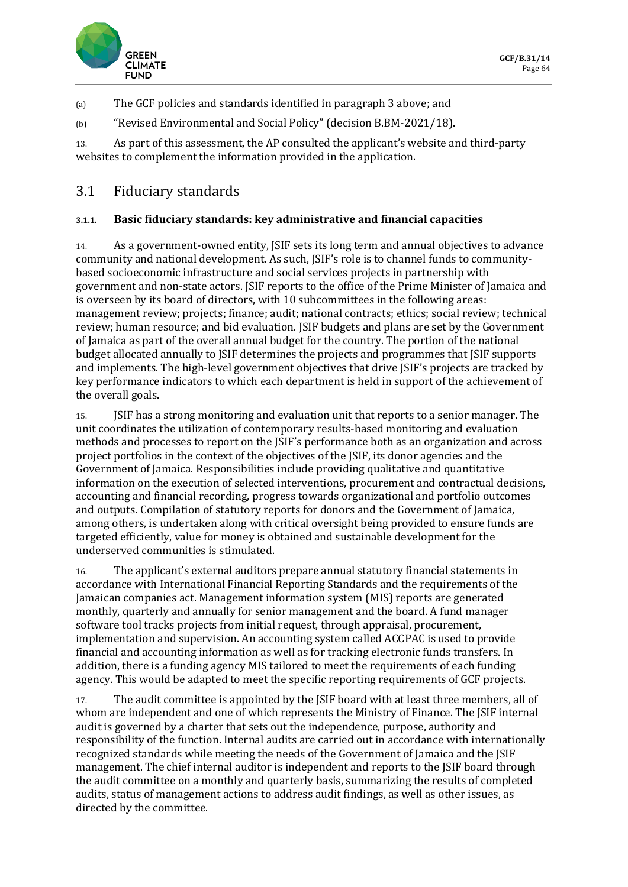

(a) The GCF policies and standards identified in paragraph 3 above; and

(b) "Revised Environmental and Social Policy" (decision B.BM-2021/18).

13. As part of this assessment, the AP consulted the applicant's website and third-party websites to complement the information provided in the application.

## 3.1 Fiduciary standards

### **3.1.1. Basic fiduciary standards: key administrative and financial capacities**

14. As a government-owned entity, JSIF sets its long term and annual objectives to advance community and national development. As such, JSIF's role is to channel funds to communitybased socioeconomic infrastructure and social services projects in partnership with government and non-state actors. JSIF reports to the office of the Prime Minister of Jamaica and is overseen by its board of directors, with 10 subcommittees in the following areas: management review; projects; finance; audit; national contracts; ethics; social review; technical review; human resource; and bid evaluation. JSIF budgets and plans are set by the Government of Jamaica as part of the overall annual budget for the country. The portion of the national budget allocated annually to JSIF determines the projects and programmes that JSIF supports and implements. The high-level government objectives that drive JSIF's projects are tracked by key performance indicators to which each department is held in support of the achievement of the overall goals.

15. JSIF has a strong monitoring and evaluation unit that reports to a senior manager. The unit coordinates the utilization of contemporary results-based monitoring and evaluation methods and processes to report on the JSIF's performance both as an organization and across project portfolios in the context of the objectives of the JSIF, its donor agencies and the Government of Jamaica. Responsibilities include providing qualitative and quantitative information on the execution of selected interventions, procurement and contractual decisions, accounting and financial recording, progress towards organizational and portfolio outcomes and outputs. Compilation of statutory reports for donors and the Government of Jamaica, among others, is undertaken along with critical oversight being provided to ensure funds are targeted efficiently, value for money is obtained and sustainable development for the underserved communities is stimulated.

16. The applicant's external auditors prepare annual statutory financial statements in accordance with International Financial Reporting Standards and the requirements of the Jamaican companies act. Management information system (MIS) reports are generated monthly, quarterly and annually for senior management and the board. A fund manager software tool tracks projects from initial request, through appraisal, procurement, implementation and supervision. An accounting system called ACCPAC is used to provide financial and accounting information as well as for tracking electronic funds transfers. In addition, there is a funding agency MIS tailored to meet the requirements of each funding agency. This would be adapted to meet the specific reporting requirements of GCF projects.

17. The audit committee is appointed by the JSIF board with at least three members, all of whom are independent and one of which represents the Ministry of Finance. The JSIF internal audit is governed by a charter that sets out the independence, purpose, authority and responsibility of the function. Internal audits are carried out in accordance with internationally recognized standards while meeting the needs of the Government of Jamaica and the JSIF management. The chief internal auditor is independent and reports to the JSIF board through the audit committee on a monthly and quarterly basis, summarizing the results of completed audits, status of management actions to address audit findings, as well as other issues, as directed by the committee.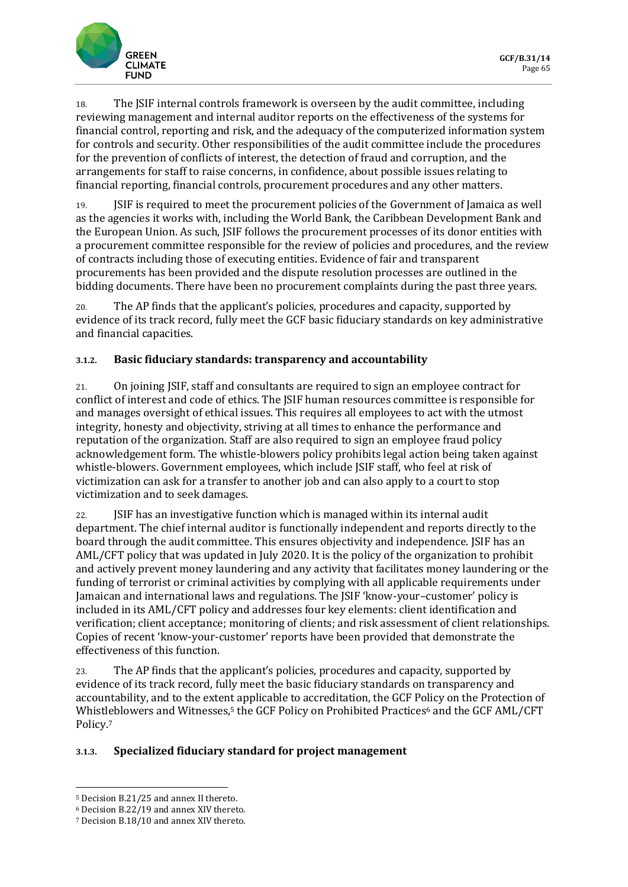18. The JSIF internal controls framework is overseen by the audit committee, including reviewing management and internal auditor reports on the effectiveness of the systems for financial control, reporting and risk, and the adequacy of the computerized information system for controls and security. Other responsibilities of the audit committee include the procedures for the prevention of conflicts of interest, the detection of fraud and corruption, and the arrangements for staff to raise concerns, in confidence, about possible issues relating to financial reporting, financial controls, procurement procedures and any other matters.

19. JSIF is required to meet the procurement policies of the Government of Jamaica as well as the agencies it works with, including the World Bank, the Caribbean Development Bank and the European Union. As such, JSIF follows the procurement processes of its donor entities with a procurement committee responsible for the review of policies and procedures, and the review of contracts including those of executing entities. Evidence of fair and transparent procurements has been provided and the dispute resolution processes are outlined in the bidding documents. There have been no procurement complaints during the past three years.

20. The AP finds that the applicant's policies, procedures and capacity, supported by evidence of its track record, fully meet the GCF basic fiduciary standards on key administrative and financial capacities.

### **3.1.2. Basic fiduciary standards: transparency and accountability**

21. On joining JSIF, staff and consultants are required to sign an employee contract for conflict of interest and code of ethics. The JSIF human resources committee is responsible for and manages oversight of ethical issues. This requires all employees to act with the utmost integrity, honesty and objectivity, striving at all times to enhance the performance and reputation of the organization. Staff are also required to sign an employee fraud policy acknowledgement form. The whistle-blowers policy prohibits legal action being taken against whistle-blowers. Government employees, which include JSIF staff, who feel at risk of victimization can ask for a transfer to another job and can also apply to a court to stop victimization and to seek damages.

22. JSIF has an investigative function which is managed within its internal audit department. The chief internal auditor is functionally independent and reports directly to the board through the audit committee. This ensures objectivity and independence. JSIF has an AML/CFT policy that was updated in July 2020. It is the policy of the organization to prohibit and actively prevent money laundering and any activity that facilitates money laundering or the funding of terrorist or criminal activities by complying with all applicable requirements under Jamaican and international laws and regulations. The JSIF 'know-your–customer' policy is included in its AML/CFT policy and addresses four key elements: client identification and verification; client acceptance; monitoring of clients; and risk assessment of client relationships. Copies of recent 'know-your-customer' reports have been provided that demonstrate the effectiveness of this function.

23. The AP finds that the applicant's policies, procedures and capacity, supported by evidence of its track record, fully meet the basic fiduciary standards on transparency and accountability, and to the extent applicable to accreditation, the GCF Policy on the Protection of Whistleblowers and Witnesses,<sup>5</sup> the GCF Policy on Prohibited Practices<sup>6</sup> and the GCF AML/CFT Policy.<sup>7</sup>

#### **3.1.3. Specialized fiduciary standard for project management**

<sup>5</sup> Decision B.21/25 and annex II thereto.

<sup>6</sup> Decision B.22/19 and annex XIV thereto.

<sup>7</sup> Decision B.18/10 and annex XIV thereto.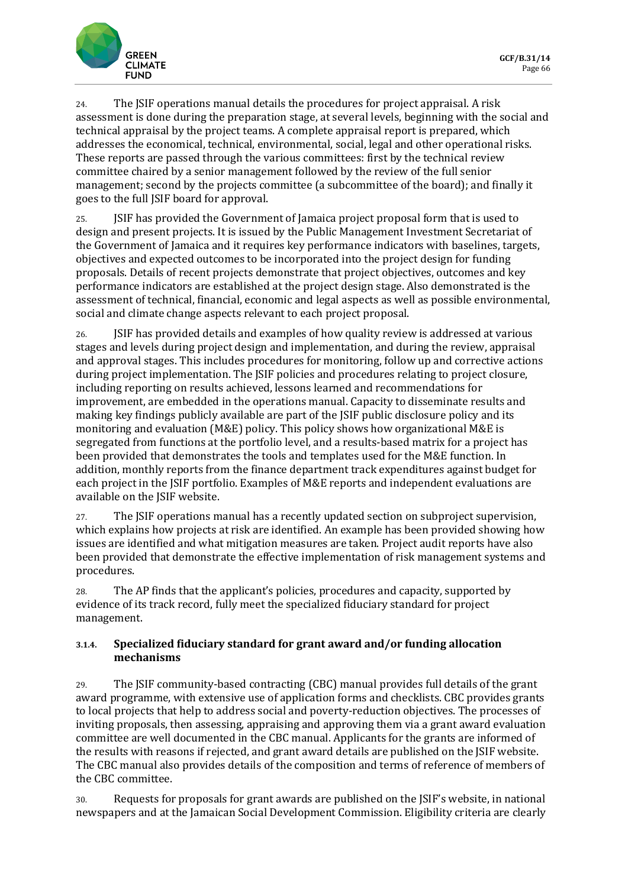

24. The JSIF operations manual details the procedures for project appraisal. A risk assessment is done during the preparation stage, at several levels, beginning with the social and technical appraisal by the project teams. A complete appraisal report is prepared, which addresses the economical, technical, environmental, social, legal and other operational risks. These reports are passed through the various committees: first by the technical review committee chaired by a senior management followed by the review of the full senior management; second by the projects committee (a subcommittee of the board); and finally it goes to the full JSIF board for approval.

25. JSIF has provided the Government of Jamaica project proposal form that is used to design and present projects. It is issued by the Public Management Investment Secretariat of the Government of Jamaica and it requires key performance indicators with baselines, targets, objectives and expected outcomes to be incorporated into the project design for funding proposals. Details of recent projects demonstrate that project objectives, outcomes and key performance indicators are established at the project design stage. Also demonstrated is the assessment of technical, financial, economic and legal aspects as well as possible environmental, social and climate change aspects relevant to each project proposal.

26. JSIF has provided details and examples of how quality review is addressed at various stages and levels during project design and implementation, and during the review, appraisal and approval stages. This includes procedures for monitoring, follow up and corrective actions during project implementation. The JSIF policies and procedures relating to project closure, including reporting on results achieved, lessons learned and recommendations for improvement, are embedded in the operations manual. Capacity to disseminate results and making key findings publicly available are part of the JSIF public disclosure policy and its monitoring and evaluation (M&E) policy. This policy shows how organizational M&E is segregated from functions at the portfolio level, and a results-based matrix for a project has been provided that demonstrates the tools and templates used for the M&E function. In addition, monthly reports from the finance department track expenditures against budget for each project in the JSIF portfolio. Examples of M&E reports and independent evaluations are available on the JSIF website.

27. The JSIF operations manual has a recently updated section on subproject supervision, which explains how projects at risk are identified. An example has been provided showing how issues are identified and what mitigation measures are taken. Project audit reports have also been provided that demonstrate the effective implementation of risk management systems and procedures.

28. The AP finds that the applicant's policies, procedures and capacity, supported by evidence of its track record, fully meet the specialized fiduciary standard for project management.

### **3.1.4. Specialized fiduciary standard for grant award and/or funding allocation mechanisms**

29. The JSIF community-based contracting (CBC) manual provides full details of the grant award programme, with extensive use of application forms and checklists. CBC provides grants to local projects that help to address social and poverty-reduction objectives. The processes of inviting proposals, then assessing, appraising and approving them via a grant award evaluation committee are well documented in the CBC manual. Applicants for the grants are informed of the results with reasons if rejected, and grant award details are published on the JSIF website. The CBC manual also provides details of the composition and terms of reference of members of the CBC committee.

30. Requests for proposals for grant awards are published on the JSIF's website, in national newspapers and at the Jamaican Social Development Commission. Eligibility criteria are clearly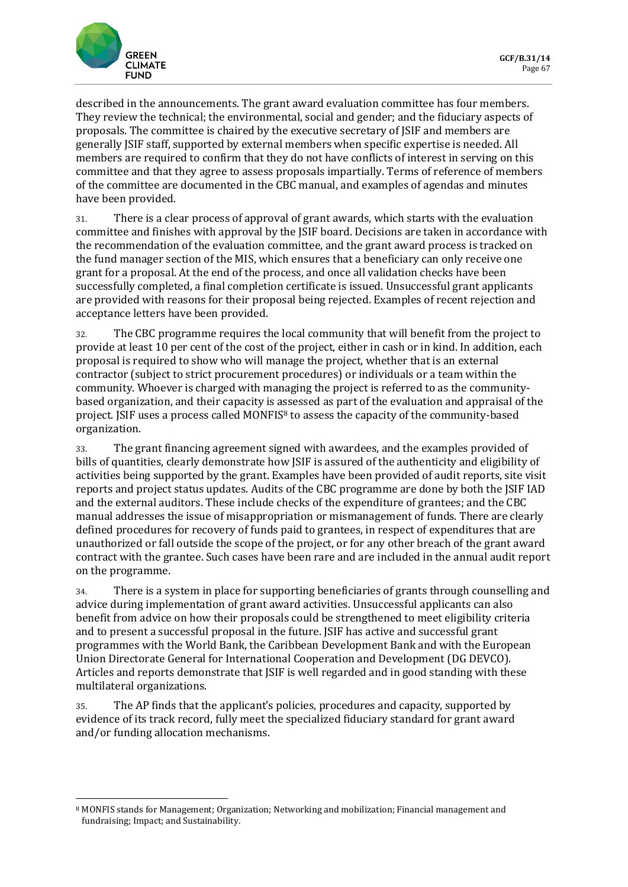

described in the announcements. The grant award evaluation committee has four members. They review the technical; the environmental, social and gender; and the fiduciary aspects of proposals. The committee is chaired by the executive secretary of JSIF and members are generally JSIF staff, supported by external members when specific expertise is needed. All members are required to confirm that they do not have conflicts of interest in serving on this committee and that they agree to assess proposals impartially. Terms of reference of members of the committee are documented in the CBC manual, and examples of agendas and minutes have been provided.

31. There is a clear process of approval of grant awards, which starts with the evaluation committee and finishes with approval by the JSIF board. Decisions are taken in accordance with the recommendation of the evaluation committee, and the grant award process is tracked on the fund manager section of the MIS, which ensures that a beneficiary can only receive one grant for a proposal. At the end of the process, and once all validation checks have been successfully completed, a final completion certificate is issued. Unsuccessful grant applicants are provided with reasons for their proposal being rejected. Examples of recent rejection and acceptance letters have been provided.

32. The CBC programme requires the local community that will benefit from the project to provide at least 10 per cent of the cost of the project, either in cash or in kind. In addition, each proposal is required to show who will manage the project, whether that is an external contractor (subject to strict procurement procedures) or individuals or a team within the community. Whoever is charged with managing the project is referred to as the communitybased organization, and their capacity is assessed as part of the evaluation and appraisal of the project. JSIF uses a process called MONFIS<sup>8</sup> to assess the capacity of the community-based organization.

33. The grant financing agreement signed with awardees, and the examples provided of bills of quantities, clearly demonstrate how JSIF is assured of the authenticity and eligibility of activities being supported by the grant. Examples have been provided of audit reports, site visit reports and project status updates. Audits of the CBC programme are done by both the JSIF IAD and the external auditors. These include checks of the expenditure of grantees; and the CBC manual addresses the issue of misappropriation or mismanagement of funds. There are clearly defined procedures for recovery of funds paid to grantees, in respect of expenditures that are unauthorized or fall outside the scope of the project, or for any other breach of the grant award contract with the grantee. Such cases have been rare and are included in the annual audit report on the programme.

34. There is a system in place for supporting beneficiaries of grants through counselling and advice during implementation of grant award activities. Unsuccessful applicants can also benefit from advice on how their proposals could be strengthened to meet eligibility criteria and to present a successful proposal in the future. JSIF has active and successful grant programmes with the World Bank, the Caribbean Development Bank and with the European Union Directorate General for International Cooperation and Development (DG DEVCO). Articles and reports demonstrate that JSIF is well regarded and in good standing with these multilateral organizations.

35. The AP finds that the applicant's policies, procedures and capacity, supported by evidence of its track record, fully meet the specialized fiduciary standard for grant award and/or funding allocation mechanisms.

<sup>8</sup> MONFIS stands for Management; Organization; Networking and mobilization; Financial management and fundraising; Impact; and Sustainability.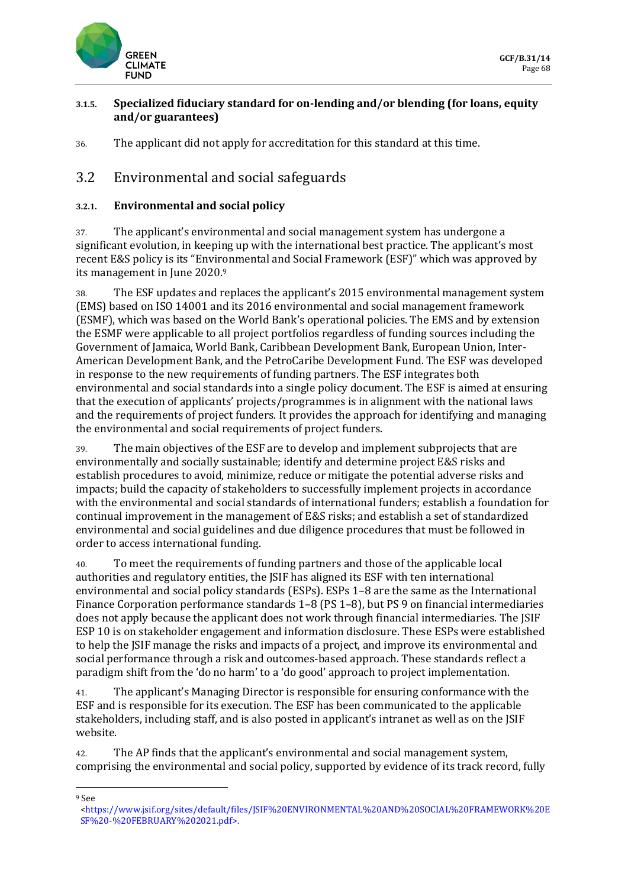

#### **3.1.5. Specialized fiduciary standard for on-lending and/or blending (for loans, equity and/or guarantees)**

36. The applicant did not apply for accreditation for this standard at this time.

## 3.2 Environmental and social safeguards

### **3.2.1. Environmental and social policy**

37. The applicant's environmental and social management system has undergone a significant evolution, in keeping up with the international best practice. The applicant's most recent E&S policy is its "Environmental and Social Framework (ESF)" which was approved by its management in June 2020.<sup>9</sup>

38. The ESF updates and replaces the applicant's 2015 environmental management system (EMS) based on ISO 14001 and its 2016 environmental and social management framework (ESMF), which was based on the World Bank's operational policies. The EMS and by extension the ESMF were applicable to all project portfolios regardless of funding sources including the Government of Jamaica, World Bank, Caribbean Development Bank, European Union, Inter-American Development Bank, and the PetroCaribe Development Fund. The ESF was developed in response to the new requirements of funding partners. The ESF integrates both environmental and social standards into a single policy document. The ESF is aimed at ensuring that the execution of applicants' projects/programmes is in alignment with the national laws and the requirements of project funders. It provides the approach for identifying and managing the environmental and social requirements of project funders.

39. The main objectives of the ESF are to develop and implement subprojects that are environmentally and socially sustainable; identify and determine project E&S risks and establish procedures to avoid, minimize, reduce or mitigate the potential adverse risks and impacts; build the capacity of stakeholders to successfully implement projects in accordance with the environmental and social standards of international funders; establish a foundation for continual improvement in the management of E&S risks; and establish a set of standardized environmental and social guidelines and due diligence procedures that must be followed in order to access international funding.

40. To meet the requirements of funding partners and those of the applicable local authorities and regulatory entities, the JSIF has aligned its ESF with ten international environmental and social policy standards (ESPs). ESPs 1–8 are the same as the International Finance Corporation performance standards 1–8 (PS 1–8), but PS 9 on financial intermediaries does not apply because the applicant does not work through financial intermediaries. The JSIF ESP 10 is on stakeholder engagement and information disclosure. These ESPs were established to help the JSIF manage the risks and impacts of a project, and improve its environmental and social performance through a risk and outcomes-based approach. These standards reflect a paradigm shift from the 'do no harm' to a 'do good' approach to project implementation.

41. The applicant's Managing Director is responsible for ensuring conformance with the ESF and is responsible for its execution. The ESF has been communicated to the applicable stakeholders, including staff, and is also posted in applicant's intranet as well as on the JSIF website.

42. The AP finds that the applicant's environmental and social management system, comprising the environmental and social policy, supported by evidence of its track record, fully

<sup>9</sup> See

[<sup>&</sup>lt;https://www.jsif.org/sites/default/files/JSIF%20ENVIRONMENTAL%20AND%20SOCIAL%20FRAMEWORK%20E](https://www.jsif.org/sites/default/files/JSIF%20ENVIRONMENTAL%20AND%20SOCIAL%20FRAMEWORK%20ESF%20-%20FEBRUARY%202021.pdf) [SF%20-%20FEBRUARY%202021.pdf>](https://www.jsif.org/sites/default/files/JSIF%20ENVIRONMENTAL%20AND%20SOCIAL%20FRAMEWORK%20ESF%20-%20FEBRUARY%202021.pdf).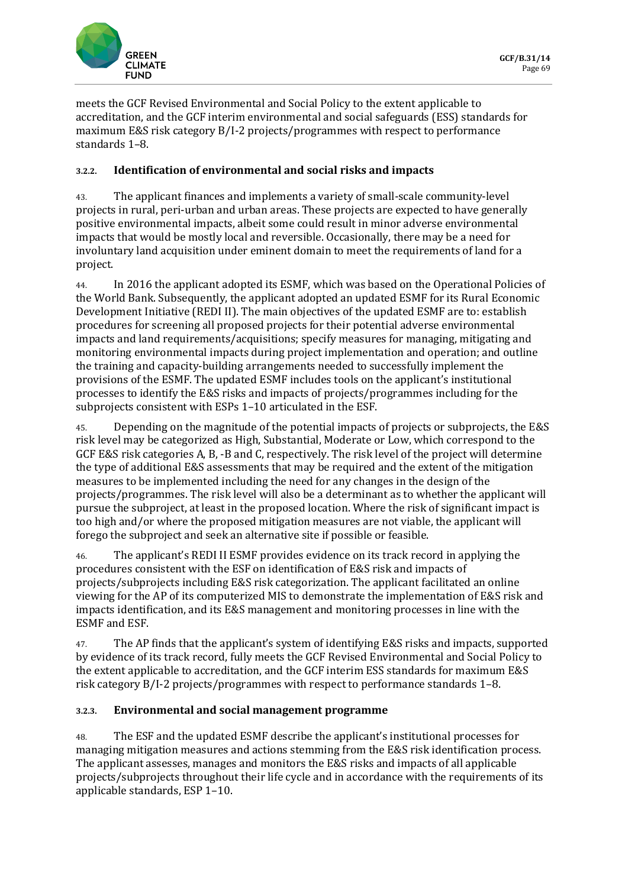

meets the GCF Revised Environmental and Social Policy to the extent applicable to accreditation, and the GCF interim environmental and social safeguards (ESS) standards for maximum E&S risk category B/I-2 projects/programmes with respect to performance standards 1–8.

### **3.2.2. Identification of environmental and social risks and impacts**

43. The applicant finances and implements a variety of small-scale community-level projects in rural, peri-urban and urban areas. These projects are expected to have generally positive environmental impacts, albeit some could result in minor adverse environmental impacts that would be mostly local and reversible. Occasionally, there may be a need for involuntary land acquisition under eminent domain to meet the requirements of land for a project.

44. In 2016 the applicant adopted its ESMF, which was based on the Operational Policies of the World Bank. Subsequently, the applicant adopted an updated ESMF for its Rural Economic Development Initiative (REDI II). The main objectives of the updated ESMF are to: establish procedures for screening all proposed projects for their potential adverse environmental impacts and land requirements/acquisitions; specify measures for managing, mitigating and monitoring environmental impacts during project implementation and operation; and outline the training and capacity-building arrangements needed to successfully implement the provisions of the ESMF. The updated ESMF includes tools on the applicant's institutional processes to identify the E&S risks and impacts of projects/programmes including for the subprojects consistent with ESPs 1–10 articulated in the ESF.

45. Depending on the magnitude of the potential impacts of projects or subprojects, the E&S risk level may be categorized as High, Substantial, Moderate or Low, which correspond to the GCF E&S risk categories A, B, -B and C, respectively. The risk level of the project will determine the type of additional E&S assessments that may be required and the extent of the mitigation measures to be implemented including the need for any changes in the design of the projects/programmes. The risk level will also be a determinant as to whether the applicant will pursue the subproject, at least in the proposed location. Where the risk of significant impact is too high and/or where the proposed mitigation measures are not viable, the applicant will forego the subproject and seek an alternative site if possible or feasible.

46. The applicant's REDI II ESMF provides evidence on its track record in applying the procedures consistent with the ESF on identification of E&S risk and impacts of projects/subprojects including E&S risk categorization. The applicant facilitated an online viewing for the AP of its computerized MIS to demonstrate the implementation of E&S risk and impacts identification, and its E&S management and monitoring processes in line with the ESMF and ESF.

47. The AP finds that the applicant's system of identifying E&S risks and impacts, supported by evidence of its track record, fully meets the GCF Revised Environmental and Social Policy to the extent applicable to accreditation, and the GCF interim ESS standards for maximum E&S risk category B/I-2 projects/programmes with respect to performance standards 1–8.

#### **3.2.3. Environmental and social management programme**

48. The ESF and the updated ESMF describe the applicant's institutional processes for managing mitigation measures and actions stemming from the E&S risk identification process. The applicant assesses, manages and monitors the E&S risks and impacts of all applicable projects/subprojects throughout their life cycle and in accordance with the requirements of its applicable standards, ESP 1–10.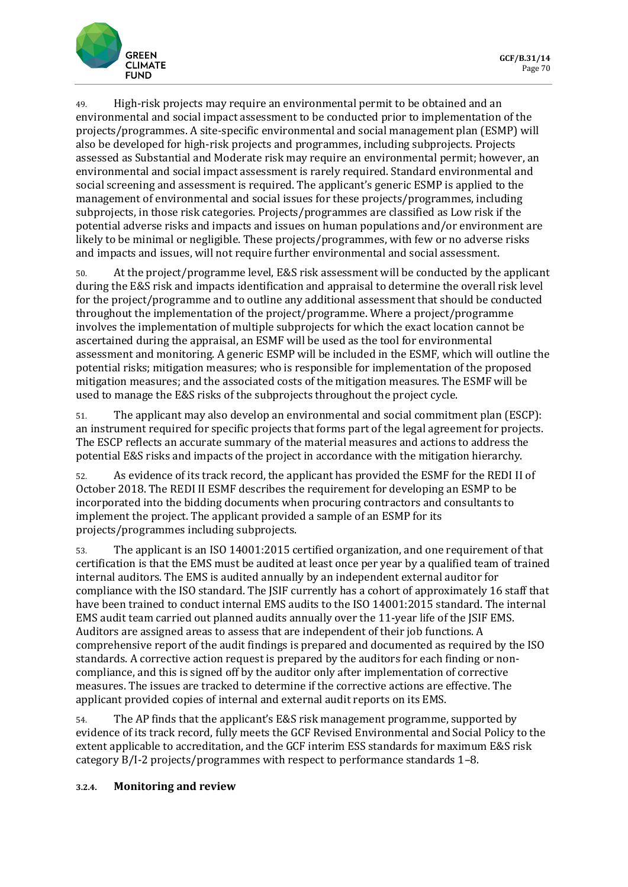

49. High-risk projects may require an environmental permit to be obtained and an environmental and social impact assessment to be conducted prior to implementation of the projects/programmes. A site-specific environmental and social management plan (ESMP) will also be developed for high-risk projects and programmes, including subprojects. Projects assessed as Substantial and Moderate risk may require an environmental permit; however, an environmental and social impact assessment is rarely required. Standard environmental and social screening and assessment is required. The applicant's generic ESMP is applied to the management of environmental and social issues for these projects/programmes, including subprojects, in those risk categories. Projects/programmes are classified as Low risk if the potential adverse risks and impacts and issues on human populations and/or environment are likely to be minimal or negligible. These projects/programmes, with few or no adverse risks and impacts and issues, will not require further environmental and social assessment.

50. At the project/programme level, E&S risk assessment will be conducted by the applicant during the E&S risk and impacts identification and appraisal to determine the overall risk level for the project/programme and to outline any additional assessment that should be conducted throughout the implementation of the project/programme. Where a project/programme involves the implementation of multiple subprojects for which the exact location cannot be ascertained during the appraisal, an ESMF will be used as the tool for environmental assessment and monitoring. A generic ESMP will be included in the ESMF, which will outline the potential risks; mitigation measures; who is responsible for implementation of the proposed mitigation measures; and the associated costs of the mitigation measures. The ESMF will be used to manage the E&S risks of the subprojects throughout the project cycle.

51. The applicant may also develop an environmental and social commitment plan (ESCP): an instrument required for specific projects that forms part of the legal agreement for projects. The ESCP reflects an accurate summary of the material measures and actions to address the potential E&S risks and impacts of the project in accordance with the mitigation hierarchy.

52. As evidence of its track record, the applicant has provided the ESMF for the REDI II of October 2018. The REDI II ESMF describes the requirement for developing an ESMP to be incorporated into the bidding documents when procuring contractors and consultants to implement the project. The applicant provided a sample of an ESMP for its projects/programmes including subprojects.

53. The applicant is an ISO 14001:2015 certified organization, and one requirement of that certification is that the EMS must be audited at least once per year by a qualified team of trained internal auditors. The EMS is audited annually by an independent external auditor for compliance with the ISO standard. The JSIF currently has a cohort of approximately 16 staff that have been trained to conduct internal EMS audits to the ISO 14001:2015 standard. The internal EMS audit team carried out planned audits annually over the 11-year life of the JSIF EMS. Auditors are assigned areas to assess that are independent of their job functions. A comprehensive report of the audit findings is prepared and documented as required by the ISO standards. A corrective action request is prepared by the auditors for each finding or noncompliance, and this is signed off by the auditor only after implementation of corrective measures. The issues are tracked to determine if the corrective actions are effective. The applicant provided copies of internal and external audit reports on its EMS.

54. The AP finds that the applicant's E&S risk management programme, supported by evidence of its track record, fully meets the GCF Revised Environmental and Social Policy to the extent applicable to accreditation, and the GCF interim ESS standards for maximum E&S risk category B/I-2 projects/programmes with respect to performance standards 1–8.

#### **3.2.4. Monitoring and review**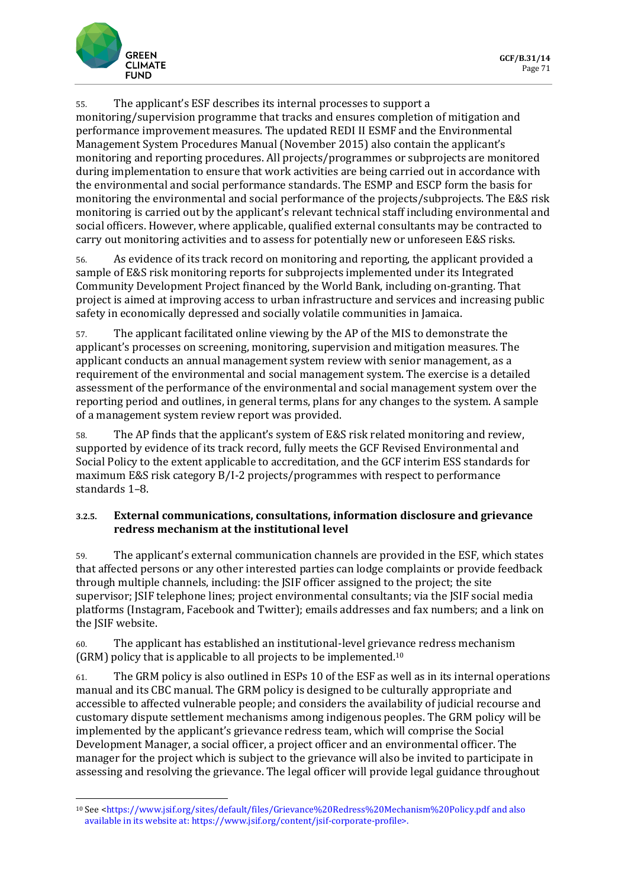

55. The applicant's ESF describes its internal processes to support a monitoring/supervision programme that tracks and ensures completion of mitigation and performance improvement measures. The updated REDI II ESMF and the Environmental Management System Procedures Manual (November 2015) also contain the applicant's monitoring and reporting procedures. All projects/programmes or subprojects are monitored during implementation to ensure that work activities are being carried out in accordance with the environmental and social performance standards. The ESMP and ESCP form the basis for monitoring the environmental and social performance of the projects/subprojects. The E&S risk monitoring is carried out by the applicant's relevant technical staff including environmental and social officers. However, where applicable, qualified external consultants may be contracted to carry out monitoring activities and to assess for potentially new or unforeseen E&S risks.

56. As evidence of its track record on monitoring and reporting, the applicant provided a sample of E&S risk monitoring reports for subprojects implemented under its Integrated Community Development Project financed by the World Bank, including on-granting. That project is aimed at improving access to urban infrastructure and services and increasing public safety in economically depressed and socially volatile communities in Jamaica.

57. The applicant facilitated online viewing by the AP of the MIS to demonstrate the applicant's processes on screening, monitoring, supervision and mitigation measures. The applicant conducts an annual management system review with senior management, as a requirement of the environmental and social management system. The exercise is a detailed assessment of the performance of the environmental and social management system over the reporting period and outlines, in general terms, plans for any changes to the system. A sample of a management system review report was provided.

58. The AP finds that the applicant's system of E&S risk related monitoring and review, supported by evidence of its track record, fully meets the GCF Revised Environmental and Social Policy to the extent applicable to accreditation, and the GCF interim ESS standards for maximum E&S risk category B/I-2 projects/programmes with respect to performance standards 1–8.

### **3.2.5. External communications, consultations, information disclosure and grievance redress mechanism at the institutional level**

59. The applicant's external communication channels are provided in the ESF, which states that affected persons or any other interested parties can lodge complaints or provide feedback through multiple channels, including: the JSIF officer assigned to the project; the site supervisor; JSIF telephone lines; project environmental consultants; via the JSIF social media platforms (Instagram, Facebook and Twitter); emails addresses and fax numbers; and a link on the JSIF website.

60. The applicant has established an institutional-level grievance redress mechanism (GRM) policy that is applicable to all projects to be implemented.<sup>10</sup>

61. The GRM policy is also outlined in ESPs 10 of the ESF as well as in its internal operations manual and its CBC manual. The GRM policy is designed to be culturally appropriate and accessible to affected vulnerable people; and considers the availability of judicial recourse and customary dispute settlement mechanisms among indigenous peoples. The GRM policy will be implemented by the applicant's grievance redress team, which will comprise the Social Development Manager, a social officer, a project officer and an environmental officer. The manager for the project which is subject to the grievance will also be invited to participate in assessing and resolving the grievance. The legal officer will provide legal guidance throughout

<sup>10</sup> See [<https://www.jsif.org/sites/default/files/Grievance%20Redress%20Mechanism%20Policy.pdf](https://www.jsif.org/sites/default/files/Grievance%20Redress%20Mechanism%20Policy.pdf) and also available in its website at: https://www.jsif.org/content/jsif-corporate-profile>.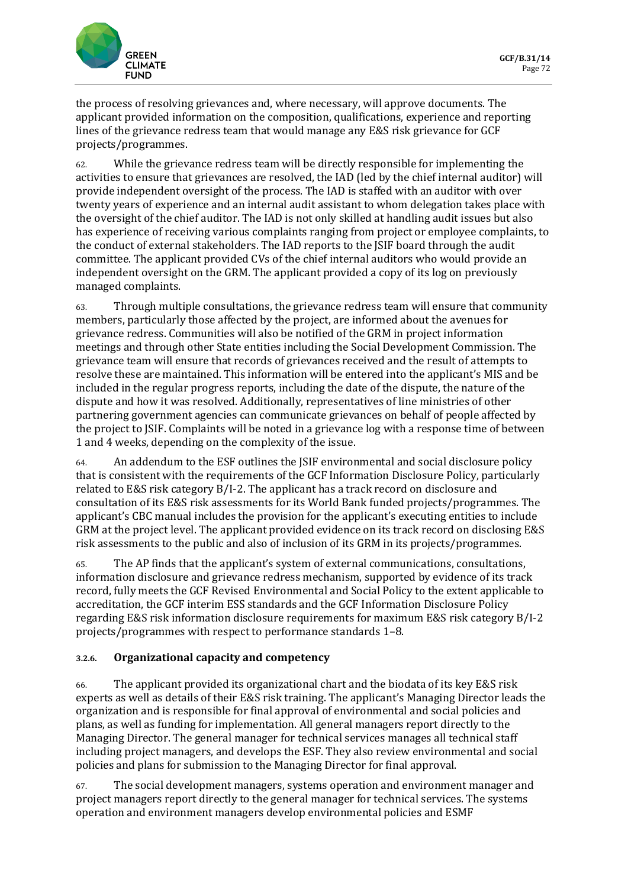

the process of resolving grievances and, where necessary, will approve documents. The applicant provided information on the composition, qualifications, experience and reporting lines of the grievance redress team that would manage any E&S risk grievance for GCF projects/programmes.

62. While the grievance redress team will be directly responsible for implementing the activities to ensure that grievances are resolved, the IAD (led by the chief internal auditor) will provide independent oversight of the process. The IAD is staffed with an auditor with over twenty years of experience and an internal audit assistant to whom delegation takes place with the oversight of the chief auditor. The IAD is not only skilled at handling audit issues but also has experience of receiving various complaints ranging from project or employee complaints, to the conduct of external stakeholders. The IAD reports to the JSIF board through the audit committee. The applicant provided CVs of the chief internal auditors who would provide an independent oversight on the GRM. The applicant provided a copy of its log on previously managed complaints.

63. Through multiple consultations, the grievance redress team will ensure that community members, particularly those affected by the project, are informed about the avenues for grievance redress. Communities will also be notified of the GRM in project information meetings and through other State entities including the Social Development Commission. The grievance team will ensure that records of grievances received and the result of attempts to resolve these are maintained. This information will be entered into the applicant's MIS and be included in the regular progress reports, including the date of the dispute, the nature of the dispute and how it was resolved. Additionally, representatives of line ministries of other partnering government agencies can communicate grievances on behalf of people affected by the project to JSIF. Complaints will be noted in a grievance log with a response time of between 1 and 4 weeks, depending on the complexity of the issue.

64. An addendum to the ESF outlines the JSIF environmental and social disclosure policy that is consistent with the requirements of the GCF Information Disclosure Policy, particularly related to E&S risk category B/I-2. The applicant has a track record on disclosure and consultation of its E&S risk assessments for its World Bank funded projects/programmes. The applicant's CBC manual includes the provision for the applicant's executing entities to include GRM at the project level. The applicant provided evidence on its track record on disclosing E&S risk assessments to the public and also of inclusion of its GRM in its projects/programmes.

65. The AP finds that the applicant's system of external communications, consultations, information disclosure and grievance redress mechanism, supported by evidence of its track record, fully meets the GCF Revised Environmental and Social Policy to the extent applicable to accreditation, the GCF interim ESS standards and the GCF Information Disclosure Policy regarding E&S risk information disclosure requirements for maximum E&S risk category B/I-2 projects/programmes with respect to performance standards 1–8.

#### **3.2.6. Organizational capacity and competency**

66. The applicant provided its organizational chart and the biodata of its key E&S risk experts as well as details of their E&S risk training. The applicant's Managing Director leads the organization and is responsible for final approval of environmental and social policies and plans, as well as funding for implementation. All general managers report directly to the Managing Director. The general manager for technical services manages all technical staff including project managers, and develops the ESF. They also review environmental and social policies and plans for submission to the Managing Director for final approval.

67. The social development managers, systems operation and environment manager and project managers report directly to the general manager for technical services. The systems operation and environment managers develop environmental policies and ESMF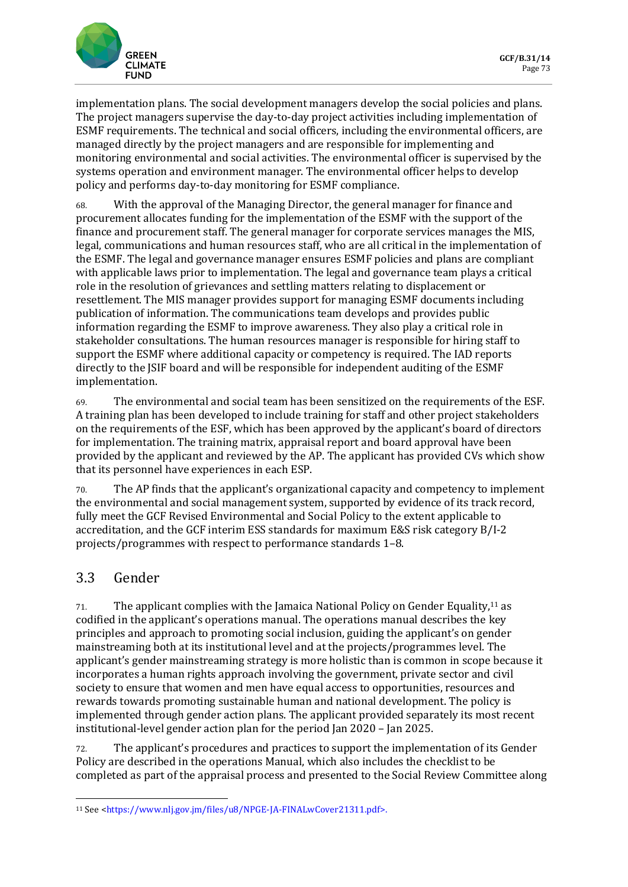

implementation plans. The social development managers develop the social policies and plans. The project managers supervise the day-to-day project activities including implementation of ESMF requirements. The technical and social officers, including the environmental officers, are managed directly by the project managers and are responsible for implementing and monitoring environmental and social activities. The environmental officer is supervised by the systems operation and environment manager. The environmental officer helps to develop policy and performs day-to-day monitoring for ESMF compliance.

68. With the approval of the Managing Director, the general manager for finance and procurement allocates funding for the implementation of the ESMF with the support of the finance and procurement staff. The general manager for corporate services manages the MIS, legal, communications and human resources staff, who are all critical in the implementation of the ESMF. The legal and governance manager ensures ESMF policies and plans are compliant with applicable laws prior to implementation. The legal and governance team plays a critical role in the resolution of grievances and settling matters relating to displacement or resettlement. The MIS manager provides support for managing ESMF documents including publication of information. The communications team develops and provides public information regarding the ESMF to improve awareness. They also play a critical role in stakeholder consultations. The human resources manager is responsible for hiring staff to support the ESMF where additional capacity or competency is required. The IAD reports directly to the JSIF board and will be responsible for independent auditing of the ESMF implementation.

69. The environmental and social team has been sensitized on the requirements of the ESF. A training plan has been developed to include training for staff and other project stakeholders on the requirements of the ESF, which has been approved by the applicant's board of directors for implementation. The training matrix, appraisal report and board approval have been provided by the applicant and reviewed by the AP. The applicant has provided CVs which show that its personnel have experiences in each ESP.

70. The AP finds that the applicant's organizational capacity and competency to implement the environmental and social management system, supported by evidence of its track record, fully meet the GCF Revised Environmental and Social Policy to the extent applicable to accreditation, and the GCF interim ESS standards for maximum E&S risk category B/I-2 projects/programmes with respect to performance standards 1–8.

# 3.3 Gender

71. The applicant complies with the Jamaica National Policy on Gender Equality,<sup>11</sup> as codified in the applicant's operations manual. The operations manual describes the key principles and approach to promoting social inclusion, guiding the applicant's on gender mainstreaming both at its institutional level and at the projects/programmes level. The applicant's gender mainstreaming strategy is more holistic than is common in scope because it incorporates a human rights approach involving the government, private sector and civil society to ensure that women and men have equal access to opportunities, resources and rewards towards promoting sustainable human and national development. The policy is implemented through gender action plans. The applicant provided separately its most recent institutional-level gender action plan for the period Jan 2020 – Jan 2025.

72. The applicant's procedures and practices to support the implementation of its Gender Policy are described in the operations Manual, which also includes the checklist to be completed as part of the appraisal process and presented to the Social Review Committee along

<sup>11</sup> See [<https://www.nlj.gov.jm/files/u8/NPGE-JA-FINALwCover21311.pdf>](https://www.nlj.gov.jm/files/u8/NPGE-JA-FINALwCover21311.pdf).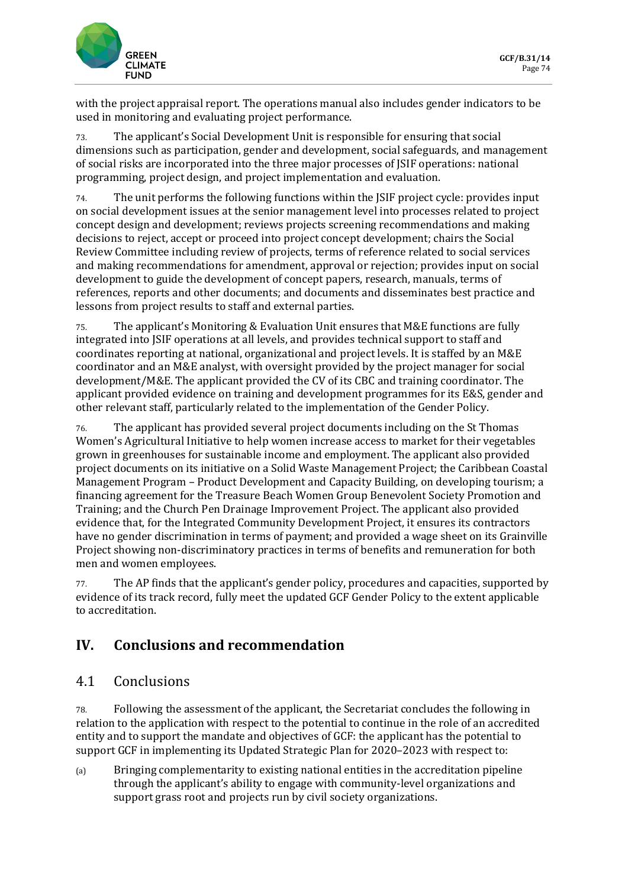

with the project appraisal report. The operations manual also includes gender indicators to be used in monitoring and evaluating project performance.

73. The applicant's Social Development Unit is responsible for ensuring that social dimensions such as participation, gender and development, social safeguards, and management of social risks are incorporated into the three major processes of JSIF operations: national programming, project design, and project implementation and evaluation.

74. The unit performs the following functions within the JSIF project cycle: provides input on social development issues at the senior management level into processes related to project concept design and development; reviews projects screening recommendations and making decisions to reject, accept or proceed into project concept development; chairs the Social Review Committee including review of projects, terms of reference related to social services and making recommendations for amendment, approval or rejection; provides input on social development to guide the development of concept papers, research, manuals, terms of references, reports and other documents; and documents and disseminates best practice and lessons from project results to staff and external parties.

75. The applicant's Monitoring & Evaluation Unit ensures that M&E functions are fully integrated into JSIF operations at all levels, and provides technical support to staff and coordinates reporting at national, organizational and project levels. It is staffed by an M&E coordinator and an M&E analyst, with oversight provided by the project manager for social development/M&E. The applicant provided the CV of its CBC and training coordinator. The applicant provided evidence on training and development programmes for its E&S, gender and other relevant staff, particularly related to the implementation of the Gender Policy.

76. The applicant has provided several project documents including on the St Thomas Women's Agricultural Initiative to help women increase access to market for their vegetables grown in greenhouses for sustainable income and employment. The applicant also provided project documents on its initiative on a Solid Waste Management Project; the Caribbean Coastal Management Program – Product Development and Capacity Building, on developing tourism; a financing agreement for the Treasure Beach Women Group Benevolent Society Promotion and Training; and the Church Pen Drainage Improvement Project. The applicant also provided evidence that, for the Integrated Community Development Project, it ensures its contractors have no gender discrimination in terms of payment; and provided a wage sheet on its Grainville Project showing non-discriminatory practices in terms of benefits and remuneration for both men and women employees.

77. The AP finds that the applicant's gender policy, procedures and capacities, supported by evidence of its track record, fully meet the updated GCF Gender Policy to the extent applicable to accreditation.

# **IV. Conclusions and recommendation**

# 4.1 Conclusions

78. Following the assessment of the applicant, the Secretariat concludes the following in relation to the application with respect to the potential to continue in the role of an accredited entity and to support the mandate and objectives of GCF: the applicant has the potential to support GCF in implementing its Updated Strategic Plan for 2020–2023 with respect to:

(a) Bringing complementarity to existing national entities in the accreditation pipeline through the applicant's ability to engage with community-level organizations and support grass root and projects run by civil society organizations.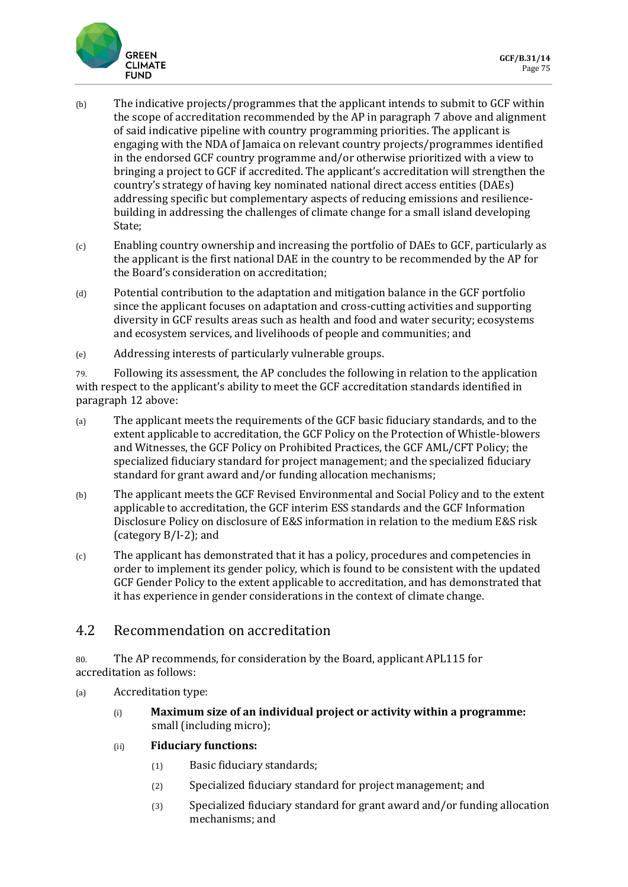

- (b) The indicative projects/programmes that the applicant intends to submit to GCF within the scope of accreditation recommended by the AP in paragraph 7 above and alignment of said indicative pipeline with country programming priorities. The applicant is engaging with the NDA of Jamaica on relevant country projects/programmes identified in the endorsed GCF country programme and/or otherwise prioritized with a view to bringing a project to GCF if accredited. The applicant's accreditation will strengthen the country's strategy of having key nominated national direct access entities (DAEs) addressing specific but complementary aspects of reducing emissions and resiliencebuilding in addressing the challenges of climate change for a small island developing State;
- (c) Enabling country ownership and increasing the portfolio of DAEs to GCF, particularly as the applicant is the first national DAE in the country to be recommended by the AP for the Board's consideration on accreditation;
- (d) Potential contribution to the adaptation and mitigation balance in the GCF portfolio since the applicant focuses on adaptation and cross-cutting activities and supporting diversity in GCF results areas such as health and food and water security; ecosystems and ecosystem services, and livelihoods of people and communities; and
- (e) Addressing interests of particularly vulnerable groups.

79. Following its assessment, the AP concludes the following in relation to the application with respect to the applicant's ability to meet the GCF accreditation standards identified in paragraph 12 above:

- (a) The applicant meets the requirements of the GCF basic fiduciary standards, and to the extent applicable to accreditation, the GCF Policy on the Protection of Whistle-blowers and Witnesses, the GCF Policy on Prohibited Practices, the GCF AML/CFT Policy; the specialized fiduciary standard for project management; and the specialized fiduciary standard for grant award and/or funding allocation mechanisms;
- (b) The applicant meets the GCF Revised Environmental and Social Policy and to the extent applicable to accreditation, the GCF interim ESS standards and the GCF Information Disclosure Policy on disclosure of E&S information in relation to the medium E&S risk (category B/I-2); and
- (c) The applicant has demonstrated that it has a policy, procedures and competencies in order to implement its gender policy, which is found to be consistent with the updated GCF Gender Policy to the extent applicable to accreditation, and has demonstrated that it has experience in gender considerations in the context of climate change.

### 4.2 Recommendation on accreditation

80. The AP recommends, for consideration by the Board, applicant APL115 for accreditation as follows:

- (a) Accreditation type:
	- (i) **Maximum size of an individual project or activity within a programme:**  small (including micro);
	- (ii) **Fiduciary functions:** 
		- (1) Basic fiduciary standards;
		- (2) Specialized fiduciary standard for project management; and
		- (3) Specialized fiduciary standard for grant award and/or funding allocation mechanisms; and